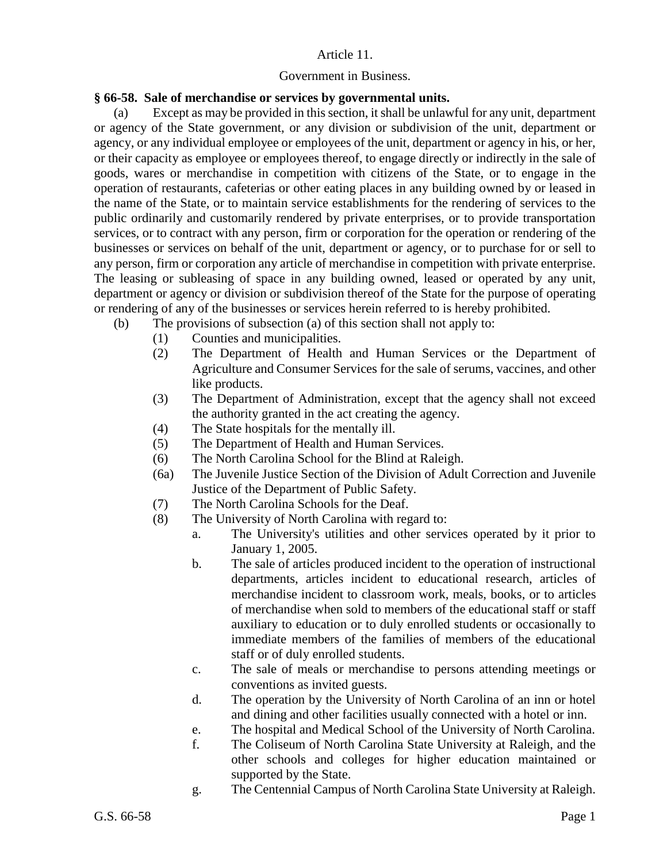## Article 11.

## Government in Business.

## **§ 66-58. Sale of merchandise or services by governmental units.**

(a) Except as may be provided in this section, it shall be unlawful for any unit, department or agency of the State government, or any division or subdivision of the unit, department or agency, or any individual employee or employees of the unit, department or agency in his, or her, or their capacity as employee or employees thereof, to engage directly or indirectly in the sale of goods, wares or merchandise in competition with citizens of the State, or to engage in the operation of restaurants, cafeterias or other eating places in any building owned by or leased in the name of the State, or to maintain service establishments for the rendering of services to the public ordinarily and customarily rendered by private enterprises, or to provide transportation services, or to contract with any person, firm or corporation for the operation or rendering of the businesses or services on behalf of the unit, department or agency, or to purchase for or sell to any person, firm or corporation any article of merchandise in competition with private enterprise. The leasing or subleasing of space in any building owned, leased or operated by any unit, department or agency or division or subdivision thereof of the State for the purpose of operating or rendering of any of the businesses or services herein referred to is hereby prohibited.

- (b) The provisions of subsection (a) of this section shall not apply to:
	- (1) Counties and municipalities.
	- (2) The Department of Health and Human Services or the Department of Agriculture and Consumer Services for the sale of serums, vaccines, and other like products.
	- (3) The Department of Administration, except that the agency shall not exceed the authority granted in the act creating the agency.
	- (4) The State hospitals for the mentally ill.
	- (5) The Department of Health and Human Services.
	- (6) The North Carolina School for the Blind at Raleigh.
	- (6a) The Juvenile Justice Section of the Division of Adult Correction and Juvenile Justice of the Department of Public Safety.
	- (7) The North Carolina Schools for the Deaf.
	- (8) The University of North Carolina with regard to:
		- a. The University's utilities and other services operated by it prior to January 1, 2005.
		- b. The sale of articles produced incident to the operation of instructional departments, articles incident to educational research, articles of merchandise incident to classroom work, meals, books, or to articles of merchandise when sold to members of the educational staff or staff auxiliary to education or to duly enrolled students or occasionally to immediate members of the families of members of the educational staff or of duly enrolled students.
		- c. The sale of meals or merchandise to persons attending meetings or conventions as invited guests.
		- d. The operation by the University of North Carolina of an inn or hotel and dining and other facilities usually connected with a hotel or inn.
		- e. The hospital and Medical School of the University of North Carolina.
		- f. The Coliseum of North Carolina State University at Raleigh, and the other schools and colleges for higher education maintained or supported by the State.
		- g. The Centennial Campus of North Carolina State University at Raleigh.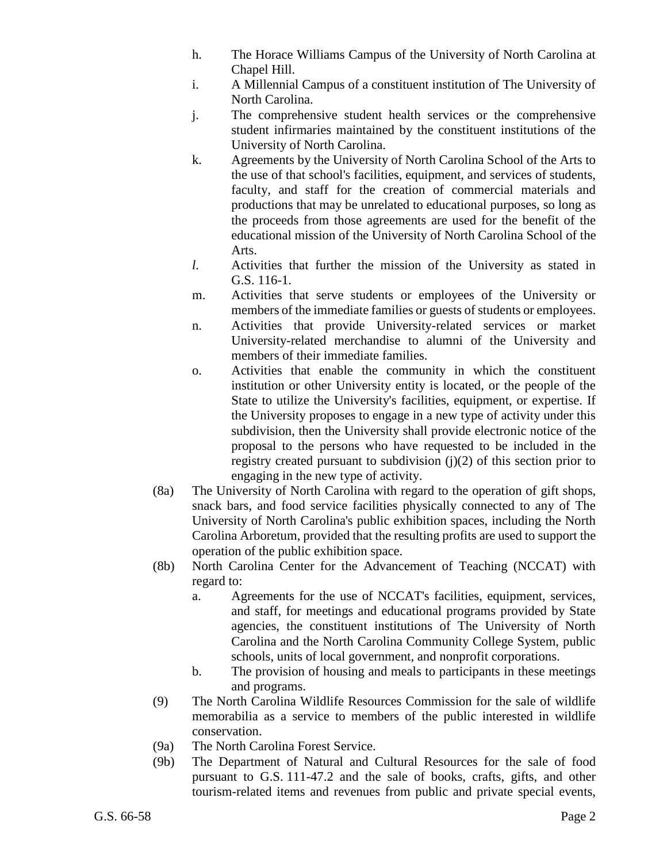- h. The Horace Williams Campus of the University of North Carolina at Chapel Hill.
- i. A Millennial Campus of a constituent institution of The University of North Carolina.
- j. The comprehensive student health services or the comprehensive student infirmaries maintained by the constituent institutions of the University of North Carolina.
- k. Agreements by the University of North Carolina School of the Arts to the use of that school's facilities, equipment, and services of students, faculty, and staff for the creation of commercial materials and productions that may be unrelated to educational purposes, so long as the proceeds from those agreements are used for the benefit of the educational mission of the University of North Carolina School of the Arts.
- *l*. Activities that further the mission of the University as stated in G.S. 116-1.
- m. Activities that serve students or employees of the University or members of the immediate families or guests of students or employees.
- n. Activities that provide University-related services or market University-related merchandise to alumni of the University and members of their immediate families.
- o. Activities that enable the community in which the constituent institution or other University entity is located, or the people of the State to utilize the University's facilities, equipment, or expertise. If the University proposes to engage in a new type of activity under this subdivision, then the University shall provide electronic notice of the proposal to the persons who have requested to be included in the registry created pursuant to subdivision (j)(2) of this section prior to engaging in the new type of activity.
- (8a) The University of North Carolina with regard to the operation of gift shops, snack bars, and food service facilities physically connected to any of The University of North Carolina's public exhibition spaces, including the North Carolina Arboretum, provided that the resulting profits are used to support the operation of the public exhibition space.
- (8b) North Carolina Center for the Advancement of Teaching (NCCAT) with regard to:
	- a. Agreements for the use of NCCAT's facilities, equipment, services, and staff, for meetings and educational programs provided by State agencies, the constituent institutions of The University of North Carolina and the North Carolina Community College System, public schools, units of local government, and nonprofit corporations.
	- b. The provision of housing and meals to participants in these meetings and programs.
- (9) The North Carolina Wildlife Resources Commission for the sale of wildlife memorabilia as a service to members of the public interested in wildlife conservation.
- (9a) The North Carolina Forest Service.
- (9b) The Department of Natural and Cultural Resources for the sale of food pursuant to G.S. 111-47.2 and the sale of books, crafts, gifts, and other tourism-related items and revenues from public and private special events,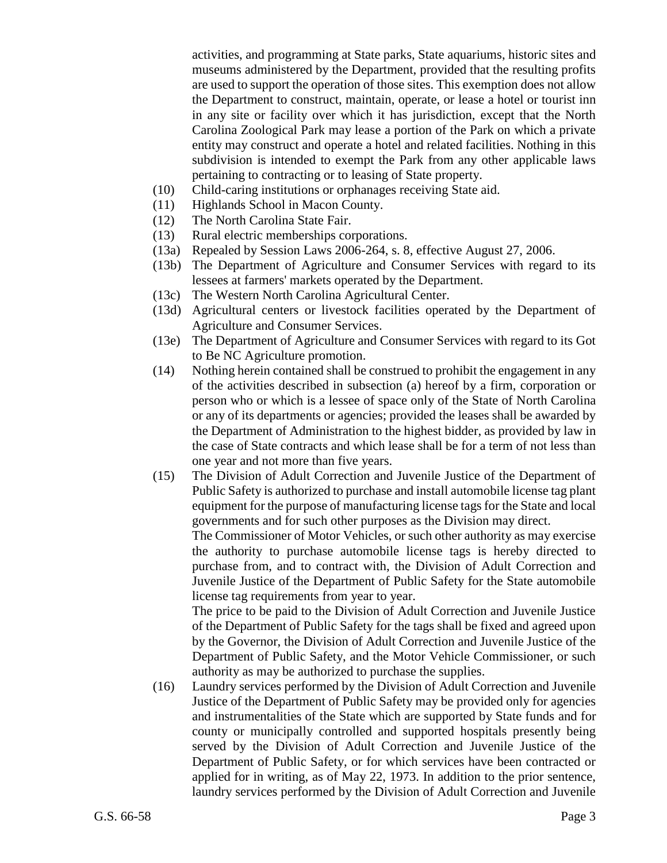activities, and programming at State parks, State aquariums, historic sites and museums administered by the Department, provided that the resulting profits are used to support the operation of those sites. This exemption does not allow the Department to construct, maintain, operate, or lease a hotel or tourist inn in any site or facility over which it has jurisdiction, except that the North Carolina Zoological Park may lease a portion of the Park on which a private entity may construct and operate a hotel and related facilities. Nothing in this subdivision is intended to exempt the Park from any other applicable laws pertaining to contracting or to leasing of State property.

- (10) Child-caring institutions or orphanages receiving State aid.
- (11) Highlands School in Macon County.
- (12) The North Carolina State Fair.
- (13) Rural electric memberships corporations.
- (13a) Repealed by Session Laws 2006-264, s. 8, effective August 27, 2006.
- (13b) The Department of Agriculture and Consumer Services with regard to its lessees at farmers' markets operated by the Department.
- (13c) The Western North Carolina Agricultural Center.
- (13d) Agricultural centers or livestock facilities operated by the Department of Agriculture and Consumer Services.
- (13e) The Department of Agriculture and Consumer Services with regard to its Got to Be NC Agriculture promotion.
- (14) Nothing herein contained shall be construed to prohibit the engagement in any of the activities described in subsection (a) hereof by a firm, corporation or person who or which is a lessee of space only of the State of North Carolina or any of its departments or agencies; provided the leases shall be awarded by the Department of Administration to the highest bidder, as provided by law in the case of State contracts and which lease shall be for a term of not less than one year and not more than five years.
- (15) The Division of Adult Correction and Juvenile Justice of the Department of Public Safety is authorized to purchase and install automobile license tag plant equipment for the purpose of manufacturing license tags for the State and local governments and for such other purposes as the Division may direct.

The Commissioner of Motor Vehicles, or such other authority as may exercise the authority to purchase automobile license tags is hereby directed to purchase from, and to contract with, the Division of Adult Correction and Juvenile Justice of the Department of Public Safety for the State automobile license tag requirements from year to year.

The price to be paid to the Division of Adult Correction and Juvenile Justice of the Department of Public Safety for the tags shall be fixed and agreed upon by the Governor, the Division of Adult Correction and Juvenile Justice of the Department of Public Safety, and the Motor Vehicle Commissioner, or such authority as may be authorized to purchase the supplies.

(16) Laundry services performed by the Division of Adult Correction and Juvenile Justice of the Department of Public Safety may be provided only for agencies and instrumentalities of the State which are supported by State funds and for county or municipally controlled and supported hospitals presently being served by the Division of Adult Correction and Juvenile Justice of the Department of Public Safety, or for which services have been contracted or applied for in writing, as of May 22, 1973. In addition to the prior sentence, laundry services performed by the Division of Adult Correction and Juvenile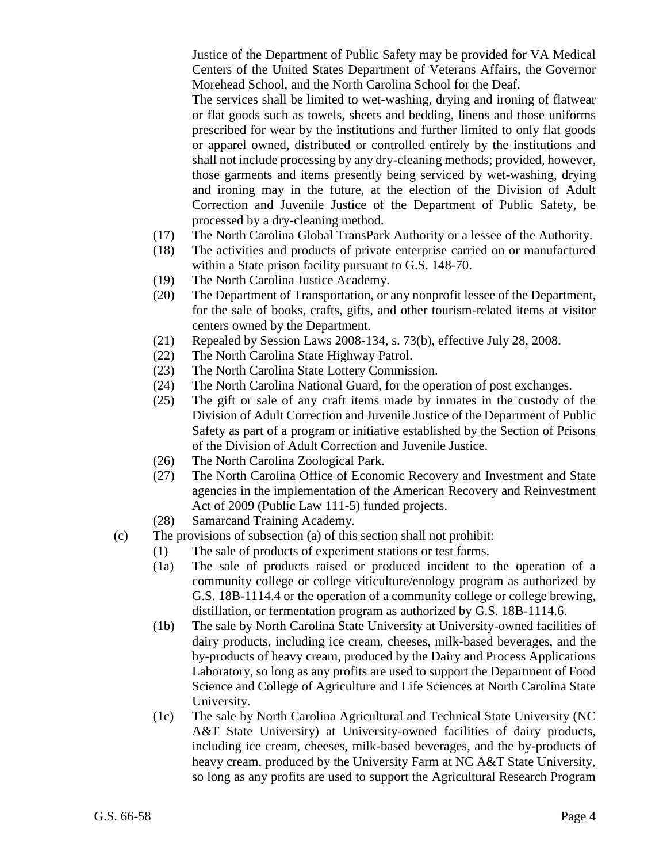Justice of the Department of Public Safety may be provided for VA Medical Centers of the United States Department of Veterans Affairs, the Governor Morehead School, and the North Carolina School for the Deaf.

The services shall be limited to wet-washing, drying and ironing of flatwear or flat goods such as towels, sheets and bedding, linens and those uniforms prescribed for wear by the institutions and further limited to only flat goods or apparel owned, distributed or controlled entirely by the institutions and shall not include processing by any dry-cleaning methods; provided, however, those garments and items presently being serviced by wet-washing, drying and ironing may in the future, at the election of the Division of Adult Correction and Juvenile Justice of the Department of Public Safety, be processed by a dry-cleaning method.

- (17) The North Carolina Global TransPark Authority or a lessee of the Authority.
- (18) The activities and products of private enterprise carried on or manufactured within a State prison facility pursuant to G.S. 148-70.
- (19) The North Carolina Justice Academy.
- (20) The Department of Transportation, or any nonprofit lessee of the Department, for the sale of books, crafts, gifts, and other tourism-related items at visitor centers owned by the Department.
- (21) Repealed by Session Laws 2008-134, s. 73(b), effective July 28, 2008.
- (22) The North Carolina State Highway Patrol.
- (23) The North Carolina State Lottery Commission.
- (24) The North Carolina National Guard, for the operation of post exchanges.
- (25) The gift or sale of any craft items made by inmates in the custody of the Division of Adult Correction and Juvenile Justice of the Department of Public Safety as part of a program or initiative established by the Section of Prisons of the Division of Adult Correction and Juvenile Justice.
- (26) The North Carolina Zoological Park.
- (27) The North Carolina Office of Economic Recovery and Investment and State agencies in the implementation of the American Recovery and Reinvestment Act of 2009 (Public Law 111-5) funded projects.
- (28) Samarcand Training Academy.
- (c) The provisions of subsection (a) of this section shall not prohibit:
	- (1) The sale of products of experiment stations or test farms.
		- (1a) The sale of products raised or produced incident to the operation of a community college or college viticulture/enology program as authorized by G.S. 18B-1114.4 or the operation of a community college or college brewing, distillation, or fermentation program as authorized by G.S. 18B-1114.6.
		- (1b) The sale by North Carolina State University at University-owned facilities of dairy products, including ice cream, cheeses, milk-based beverages, and the by-products of heavy cream, produced by the Dairy and Process Applications Laboratory, so long as any profits are used to support the Department of Food Science and College of Agriculture and Life Sciences at North Carolina State University.
		- (1c) The sale by North Carolina Agricultural and Technical State University (NC A&T State University) at University-owned facilities of dairy products, including ice cream, cheeses, milk-based beverages, and the by-products of heavy cream, produced by the University Farm at NC A&T State University, so long as any profits are used to support the Agricultural Research Program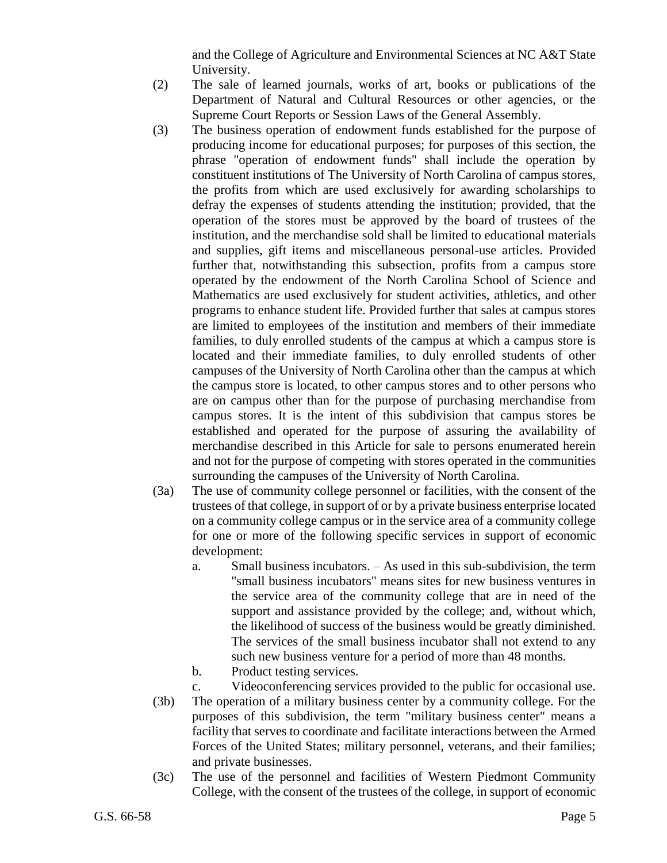and the College of Agriculture and Environmental Sciences at NC A&T State University.

- (2) The sale of learned journals, works of art, books or publications of the Department of Natural and Cultural Resources or other agencies, or the Supreme Court Reports or Session Laws of the General Assembly.
- (3) The business operation of endowment funds established for the purpose of producing income for educational purposes; for purposes of this section, the phrase "operation of endowment funds" shall include the operation by constituent institutions of The University of North Carolina of campus stores, the profits from which are used exclusively for awarding scholarships to defray the expenses of students attending the institution; provided, that the operation of the stores must be approved by the board of trustees of the institution, and the merchandise sold shall be limited to educational materials and supplies, gift items and miscellaneous personal-use articles. Provided further that, notwithstanding this subsection, profits from a campus store operated by the endowment of the North Carolina School of Science and Mathematics are used exclusively for student activities, athletics, and other programs to enhance student life. Provided further that sales at campus stores are limited to employees of the institution and members of their immediate families, to duly enrolled students of the campus at which a campus store is located and their immediate families, to duly enrolled students of other campuses of the University of North Carolina other than the campus at which the campus store is located, to other campus stores and to other persons who are on campus other than for the purpose of purchasing merchandise from campus stores. It is the intent of this subdivision that campus stores be established and operated for the purpose of assuring the availability of merchandise described in this Article for sale to persons enumerated herein and not for the purpose of competing with stores operated in the communities surrounding the campuses of the University of North Carolina.
- (3a) The use of community college personnel or facilities, with the consent of the trustees of that college, in support of or by a private business enterprise located on a community college campus or in the service area of a community college for one or more of the following specific services in support of economic development:
	- a. Small business incubators. As used in this sub-subdivision, the term "small business incubators" means sites for new business ventures in the service area of the community college that are in need of the support and assistance provided by the college; and, without which, the likelihood of success of the business would be greatly diminished. The services of the small business incubator shall not extend to any such new business venture for a period of more than 48 months.
	- b. Product testing services.
- c. Videoconferencing services provided to the public for occasional use. (3b) The operation of a military business center by a community college. For the purposes of this subdivision, the term "military business center" means a facility that serves to coordinate and facilitate interactions between the Armed Forces of the United States; military personnel, veterans, and their families; and private businesses.
- (3c) The use of the personnel and facilities of Western Piedmont Community College, with the consent of the trustees of the college, in support of economic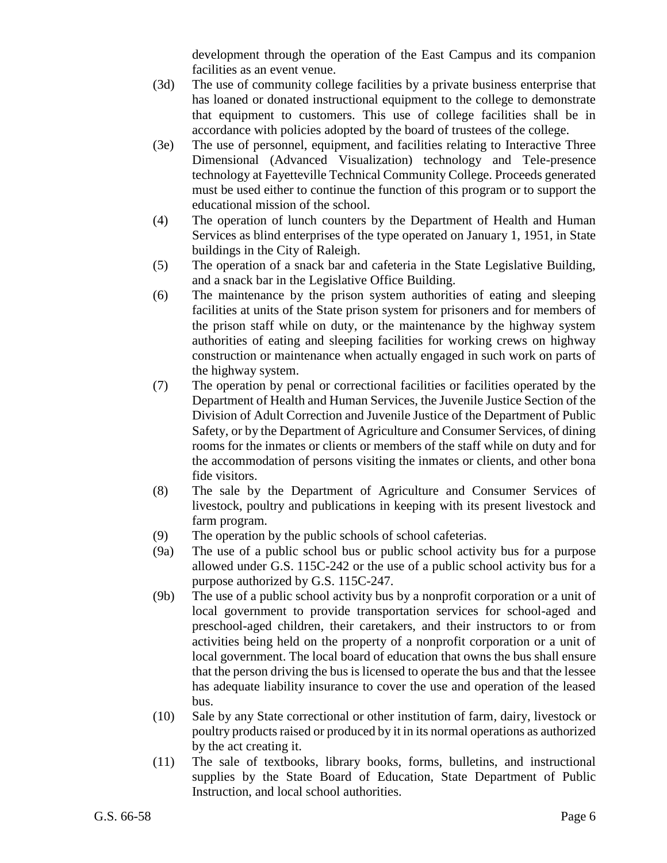development through the operation of the East Campus and its companion facilities as an event venue.

- (3d) The use of community college facilities by a private business enterprise that has loaned or donated instructional equipment to the college to demonstrate that equipment to customers. This use of college facilities shall be in accordance with policies adopted by the board of trustees of the college.
- (3e) The use of personnel, equipment, and facilities relating to Interactive Three Dimensional (Advanced Visualization) technology and Tele-presence technology at Fayetteville Technical Community College. Proceeds generated must be used either to continue the function of this program or to support the educational mission of the school.
- (4) The operation of lunch counters by the Department of Health and Human Services as blind enterprises of the type operated on January 1, 1951, in State buildings in the City of Raleigh.
- (5) The operation of a snack bar and cafeteria in the State Legislative Building, and a snack bar in the Legislative Office Building.
- (6) The maintenance by the prison system authorities of eating and sleeping facilities at units of the State prison system for prisoners and for members of the prison staff while on duty, or the maintenance by the highway system authorities of eating and sleeping facilities for working crews on highway construction or maintenance when actually engaged in such work on parts of the highway system.
- (7) The operation by penal or correctional facilities or facilities operated by the Department of Health and Human Services, the Juvenile Justice Section of the Division of Adult Correction and Juvenile Justice of the Department of Public Safety, or by the Department of Agriculture and Consumer Services, of dining rooms for the inmates or clients or members of the staff while on duty and for the accommodation of persons visiting the inmates or clients, and other bona fide visitors.
- (8) The sale by the Department of Agriculture and Consumer Services of livestock, poultry and publications in keeping with its present livestock and farm program.
- (9) The operation by the public schools of school cafeterias.
- (9a) The use of a public school bus or public school activity bus for a purpose allowed under G.S. 115C-242 or the use of a public school activity bus for a purpose authorized by G.S. 115C-247.
- (9b) The use of a public school activity bus by a nonprofit corporation or a unit of local government to provide transportation services for school-aged and preschool-aged children, their caretakers, and their instructors to or from activities being held on the property of a nonprofit corporation or a unit of local government. The local board of education that owns the bus shall ensure that the person driving the bus is licensed to operate the bus and that the lessee has adequate liability insurance to cover the use and operation of the leased bus.
- (10) Sale by any State correctional or other institution of farm, dairy, livestock or poultry products raised or produced by it in its normal operations as authorized by the act creating it.
- (11) The sale of textbooks, library books, forms, bulletins, and instructional supplies by the State Board of Education, State Department of Public Instruction, and local school authorities.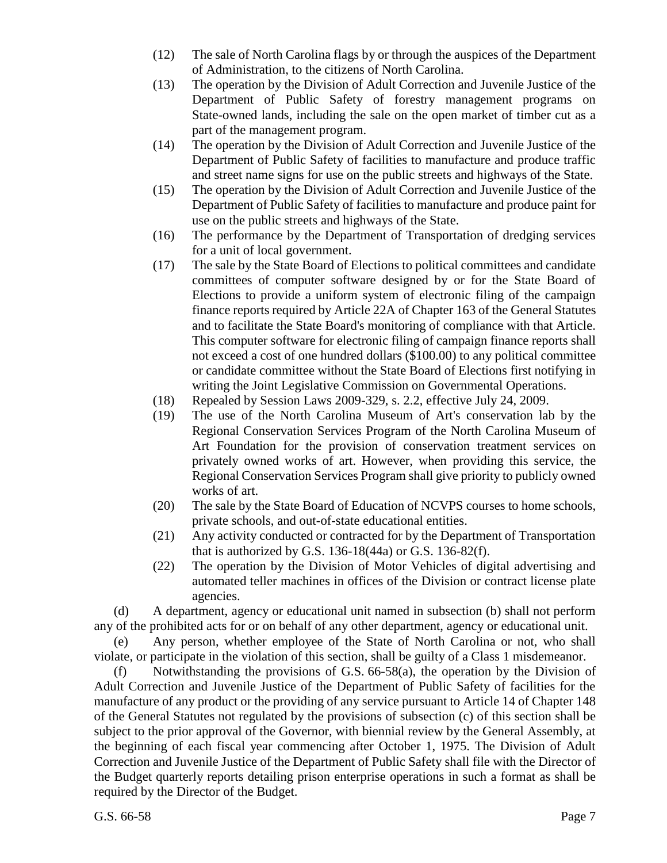- (12) The sale of North Carolina flags by or through the auspices of the Department of Administration, to the citizens of North Carolina.
- (13) The operation by the Division of Adult Correction and Juvenile Justice of the Department of Public Safety of forestry management programs on State-owned lands, including the sale on the open market of timber cut as a part of the management program.
- (14) The operation by the Division of Adult Correction and Juvenile Justice of the Department of Public Safety of facilities to manufacture and produce traffic and street name signs for use on the public streets and highways of the State.
- (15) The operation by the Division of Adult Correction and Juvenile Justice of the Department of Public Safety of facilities to manufacture and produce paint for use on the public streets and highways of the State.
- (16) The performance by the Department of Transportation of dredging services for a unit of local government.
- (17) The sale by the State Board of Elections to political committees and candidate committees of computer software designed by or for the State Board of Elections to provide a uniform system of electronic filing of the campaign finance reports required by Article 22A of Chapter 163 of the General Statutes and to facilitate the State Board's monitoring of compliance with that Article. This computer software for electronic filing of campaign finance reports shall not exceed a cost of one hundred dollars (\$100.00) to any political committee or candidate committee without the State Board of Elections first notifying in writing the Joint Legislative Commission on Governmental Operations.
- (18) Repealed by Session Laws 2009-329, s. 2.2, effective July 24, 2009.
- (19) The use of the North Carolina Museum of Art's conservation lab by the Regional Conservation Services Program of the North Carolina Museum of Art Foundation for the provision of conservation treatment services on privately owned works of art. However, when providing this service, the Regional Conservation Services Program shall give priority to publicly owned works of art.
- (20) The sale by the State Board of Education of NCVPS courses to home schools, private schools, and out-of-state educational entities.
- (21) Any activity conducted or contracted for by the Department of Transportation that is authorized by G.S. 136-18(44a) or G.S. 136-82(f).
- (22) The operation by the Division of Motor Vehicles of digital advertising and automated teller machines in offices of the Division or contract license plate agencies.

(d) A department, agency or educational unit named in subsection (b) shall not perform any of the prohibited acts for or on behalf of any other department, agency or educational unit.

(e) Any person, whether employee of the State of North Carolina or not, who shall violate, or participate in the violation of this section, shall be guilty of a Class 1 misdemeanor.

(f) Notwithstanding the provisions of G.S. 66-58(a), the operation by the Division of Adult Correction and Juvenile Justice of the Department of Public Safety of facilities for the manufacture of any product or the providing of any service pursuant to Article 14 of Chapter 148 of the General Statutes not regulated by the provisions of subsection (c) of this section shall be subject to the prior approval of the Governor, with biennial review by the General Assembly, at the beginning of each fiscal year commencing after October 1, 1975. The Division of Adult Correction and Juvenile Justice of the Department of Public Safety shall file with the Director of the Budget quarterly reports detailing prison enterprise operations in such a format as shall be required by the Director of the Budget.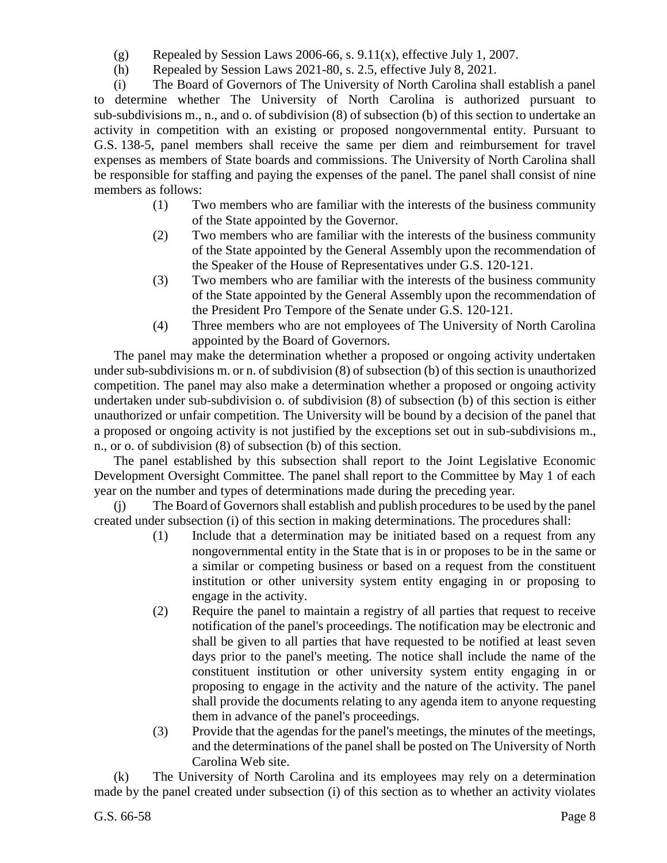- (g) Repealed by Session Laws 2006-66, s.  $9.11(x)$ , effective July 1, 2007.
- (h) Repealed by Session Laws 2021-80, s. 2.5, effective July 8, 2021.

(i) The Board of Governors of The University of North Carolina shall establish a panel to determine whether The University of North Carolina is authorized pursuant to sub-subdivisions m., n., and o. of subdivision (8) of subsection (b) of this section to undertake an activity in competition with an existing or proposed nongovernmental entity. Pursuant to G.S. 138-5, panel members shall receive the same per diem and reimbursement for travel expenses as members of State boards and commissions. The University of North Carolina shall be responsible for staffing and paying the expenses of the panel. The panel shall consist of nine members as follows:

- (1) Two members who are familiar with the interests of the business community of the State appointed by the Governor.
- (2) Two members who are familiar with the interests of the business community of the State appointed by the General Assembly upon the recommendation of the Speaker of the House of Representatives under G.S. 120-121.
- (3) Two members who are familiar with the interests of the business community of the State appointed by the General Assembly upon the recommendation of the President Pro Tempore of the Senate under G.S. 120-121.
- (4) Three members who are not employees of The University of North Carolina appointed by the Board of Governors.

The panel may make the determination whether a proposed or ongoing activity undertaken under sub-subdivisions m. or n. of subdivision (8) of subsection (b) of this section is unauthorized competition. The panel may also make a determination whether a proposed or ongoing activity undertaken under sub-subdivision o. of subdivision (8) of subsection (b) of this section is either unauthorized or unfair competition. The University will be bound by a decision of the panel that a proposed or ongoing activity is not justified by the exceptions set out in sub-subdivisions m., n., or o. of subdivision (8) of subsection (b) of this section.

The panel established by this subsection shall report to the Joint Legislative Economic Development Oversight Committee. The panel shall report to the Committee by May 1 of each year on the number and types of determinations made during the preceding year.

(j) The Board of Governors shall establish and publish procedures to be used by the panel created under subsection (i) of this section in making determinations. The procedures shall:

- (1) Include that a determination may be initiated based on a request from any nongovernmental entity in the State that is in or proposes to be in the same or a similar or competing business or based on a request from the constituent institution or other university system entity engaging in or proposing to engage in the activity.
- (2) Require the panel to maintain a registry of all parties that request to receive notification of the panel's proceedings. The notification may be electronic and shall be given to all parties that have requested to be notified at least seven days prior to the panel's meeting. The notice shall include the name of the constituent institution or other university system entity engaging in or proposing to engage in the activity and the nature of the activity. The panel shall provide the documents relating to any agenda item to anyone requesting them in advance of the panel's proceedings.
- (3) Provide that the agendas for the panel's meetings, the minutes of the meetings, and the determinations of the panel shall be posted on The University of North Carolina Web site.

(k) The University of North Carolina and its employees may rely on a determination made by the panel created under subsection (i) of this section as to whether an activity violates